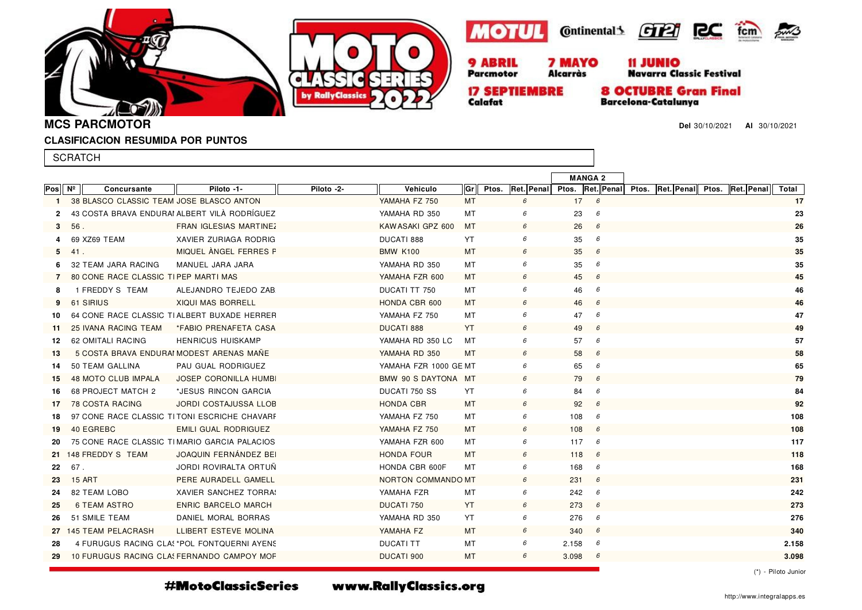





**Alcarràs** 





Navarra Classic Festival

**17 SEPTIEMBRE** Calafat

Parcmotor

**8 OCTUBRE Gran Final Barcelona-Catalunya** 

**Del** 30/10/2021 **Al** 30/10/2021

**MCS PARCMOTOR**

### **CLASIFICACION RESUMIDA POR PUNTOS**

|              | <b>SCRATCH</b>                               |                                             |            |                       |           |       |                |     |                                                               |  |       |
|--------------|----------------------------------------------|---------------------------------------------|------------|-----------------------|-----------|-------|----------------|-----|---------------------------------------------------------------|--|-------|
|              |                                              |                                             |            |                       |           |       | <b>MANGA 2</b> |     |                                                               |  |       |
| Pos          | $N^{\circ}$<br>Concursante                   | Piloto -1-                                  | Piloto -2- | Vehiculo              | Gr        | Ptos. |                |     | Ret. Penal Ptos. Ret. Penal Ptos. Ret. Penal Ptos. Ret. Penal |  | Total |
| $\mathbf{1}$ | 38 BLASCO CLASSIC TEAM JOSE BLASCO ANTON     |                                             |            | YAMAHA FZ 750         | MT        | 6     | 17             | 6   |                                                               |  | 17    |
| $\mathbf{2}$ | 43 COSTA BRAVA ENDURAI ALBERT VILÀ RODRÍGUEZ |                                             |            | YAMAHA RD 350         | МT        | 6     | 23             | 6   |                                                               |  | 23    |
| 3            | 56.                                          | FRAN IGLESIAS MARTINEZ                      |            | KAW ASAKI GPZ 600     | MT        | 6     | 26             | 6   |                                                               |  | 26    |
| 4            | 69 XZ69 TEAM                                 | XAVIER ZURIAGA RODRIG                       |            | DUCATI 888            | YT        | 6     | 35             | 6   |                                                               |  | 35    |
| 5            | 41.                                          | MIQUEL ANGEL FERRES F                       |            | <b>BMW K100</b>       | MT        | 6     | 35             | 6   |                                                               |  | 35    |
| 6            | 32 TEAM JARA RACING                          | MANUEL JARA JARA                            |            | YAMAHA RD 350         | MT        | 6     | 35             | 6   |                                                               |  | 35    |
| 7            | 80 CONE RACE CLASSIC TIPEP MARTI MAS         |                                             |            | YAMAHA FZR 600        | MT        | 6     | 45             | 6   |                                                               |  | 45    |
| 8            | 1 FREDDY S TEAM                              | ALEJANDRO TEJEDO ZAB                        |            | DUCATI TT 750         | MT        | 6     | 46             | 6   |                                                               |  | 46    |
| 9            | 61 SIRIUS                                    | <b>XIQUI MAS BORRELL</b>                    |            | HONDA CBR 600         | MT        | 6     | 46             | 6   |                                                               |  | 46    |
| 10           | 64 CONE RACE CLASSIC TIALBERT BUXADE HERRER  |                                             |            | YAMAHA FZ 750         | МT        | 6     | 47             | 6   |                                                               |  | 47    |
| 11           | 25 IVANA RACING TEAM                         | *FABIO PRENAFETA CASA                       |            | <b>DUCATI 888</b>     | YT        | 6     | 49             | 6   |                                                               |  | 49    |
| 12           | 62 OMITALI RACING                            | <b>HENRICUS HUISKAMP</b>                    |            | YAMAHA RD 350 LC      | МT        | 6     | 57             | 6   |                                                               |  | 57    |
| 13           | 5 COSTA BRAVA ENDURAI MODEST ARENAS MANE     |                                             |            | YAMAHA RD 350         | МT        | 6     | 58             | 6   |                                                               |  | 58    |
| 14           | 50 TEAM GALLINA                              | PAU GUAL RODRIGUEZ                          |            | YAMAHA FZR 1000 GE MT |           | 6     | 65             | 6   |                                                               |  | 65    |
| 15           | 48 MOTO CLUB IMPALA                          | <b>JOSEP CORONILLA HUMB</b>                 |            | BMW 90 S DAYTONA MT   |           | 6     | 79             | 6   |                                                               |  | 79    |
| 16           | 68 PROJECT MATCH 2                           | *JESUS RINCON GARCIA                        |            | DUCATI 750 SS         | YT        | 6     | 84             | 6   |                                                               |  | 84    |
| 17           | <b>78 COSTA RACING</b>                       | JORDI COSTAJUSSA LLOB                       |            | <b>HONDA CBR</b>      | MT        | 6     | 92             | 6   |                                                               |  | 92    |
| 18           | 97 CONE RACE CLASSIC TITONI ESCRICHE CHAVARE |                                             |            | YAMAHA FZ 750         | MT        | 6     | 108            | 6   |                                                               |  | 108   |
| 19           | 40 EGREBC                                    | EMILI GUAL RODRIGUEZ                        |            | YAMAHA FZ 750         | MT        | 6     | 108            | 6   |                                                               |  | 108   |
| 20           | 75 CONE RACE CLASSIC TIMARIO GARCIA PALACIOS |                                             |            | YAMAHA FZR 600        | MT        | 6     | 117            | 6   |                                                               |  | 117   |
|              | 21 148 FREDDY S TEAM                         | <b>JOAQUIN FERNÁNDEZ BEI</b>                |            | <b>HONDA FOUR</b>     | <b>MT</b> | 6     | 118            | - 6 |                                                               |  | 118   |
| 22           | 67.                                          | JORDI ROVIRALTA ORTUÑ                       |            | HONDA CBR 600F        | MT        | 6     | 168            | 6   |                                                               |  | 168   |
| 23           | <b>15 ART</b>                                | PERE AURADELL GAMELL                        |            | NORTON COMMANDO MT    |           | 6     | 231            | 6   |                                                               |  | 231   |
| 24           | 82 TEAM LOBO                                 | <b>XAVIER SANCHEZ TORRA:</b>                |            | YAMAHA FZR            | MT        | 6     | 242            | 6   |                                                               |  | 242   |
| 25           | <b>6 TEAM ASTRO</b>                          | <b>ENRIC BARCELO MARCH</b>                  |            | <b>DUCATI 750</b>     | YT        | 6     | 273            | 6   |                                                               |  | 273   |
| 26           | 51 SMILE TEAM                                | DANIEL MORAL BORRAS                         |            | YAMAHA RD 350         | YT        | 6     | 276            | 6   |                                                               |  | 276   |
|              | 27 145 TEAM PELACRASH                        | LLIBERT ESTEVE MOLINA                       |            | YAMAHA FZ             | MT        | 6     | 340            | 6   |                                                               |  | 340   |
| 28           |                                              | 4 FURUGUS RACING CLA! *POL FONTQUERNI AYEN! |            | <b>DUCATI TT</b>      | MT        | 6     | 2.158          | 6   |                                                               |  | 2.158 |
| 29           | 10 FURUGUS RACING CLAS FERNANDO CAMPOY MOF   |                                             |            | <b>DUCATI 900</b>     | MT        | 6     | 3.098          | - 6 |                                                               |  | 3.098 |
|              |                                              |                                             |            |                       |           |       |                |     |                                                               |  |       |

#MotoClassicSeries

www.RallyClassics.org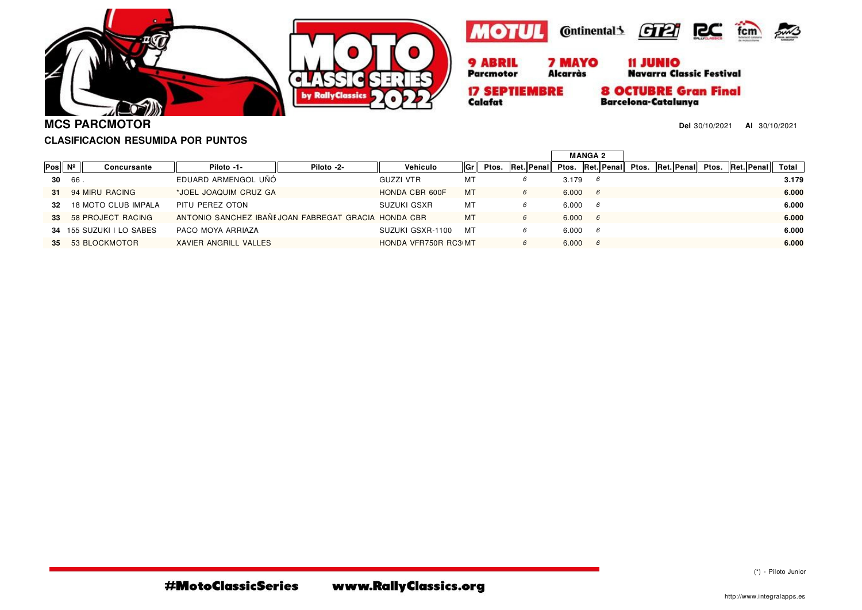





**17 SEPTIEMBRE** 

Calafat



**8 OCTUBRE Gran Final** 

**Barcelona-Catalunya** 



**MCS PARCMOTOR**

**Del** 30/10/2021 **Al** 30/10/2021

## **CLASIFICACION RESUMIDA POR PUNTOS**

|                              |     |                          |                                                      |            |                      |    |       |   |            |       | <b>MANGA 2</b> |            |       |            |                  |  |       |
|------------------------------|-----|--------------------------|------------------------------------------------------|------------|----------------------|----|-------|---|------------|-------|----------------|------------|-------|------------|------------------|--|-------|
| $Pos \,   \, N^{\circ} \,  $ |     | Concursante              | Piloto -1-                                           | Piloto -2- | Vehiculo             | Gr | Ptos. |   | Ret. Penal | Ptos. |                | Ret. Penal | Ptos. | Ret. Penal | Ptos. Ret. Penal |  | Total |
| 30                           | 66. |                          | EDUARD ARMENGOL UÑÓ                                  |            | GUZZI VTR            | МT |       |   |            | 3.179 |                |            |       |            |                  |  | 3.179 |
| 31                           |     | 94 MIRU RACING           | *JOEL JOAQUIM CRUZ GA                                |            | HONDA CBR 600F       | MT |       | 6 |            | 6.000 | 6              |            |       |            |                  |  | 6.000 |
| 32                           |     | 18 MOTO CLUB IMPALA      | PITU PEREZ OTON                                      |            | SUZUKI GSXR          | MT |       |   |            | 6.000 | 6              |            |       |            |                  |  | 6.000 |
| 33                           |     | 58 PROJECT RACING        | ANTONIO SANCHEZ IBAÑI JOAN FABREGAT GRACIA HONDA CBR |            |                      | MT |       | 6 |            | 6.000 | 6              |            |       |            |                  |  | 6.000 |
|                              |     | 34 155 SUZUKI I LO SABES | PACO MOYA ARRIAZA                                    |            | SUZUKI GSXR-1100     | MT |       | 6 |            | 6.000 | -6             |            |       |            |                  |  | 6.000 |
| 35 <sub>1</sub>              |     | 53 BLOCKMOTOR            | XAVIER ANGRILL VALLES                                |            | HONDA VFR750R RC3 MT |    |       |   |            | 6.000 | 6              |            |       |            |                  |  | 6.000 |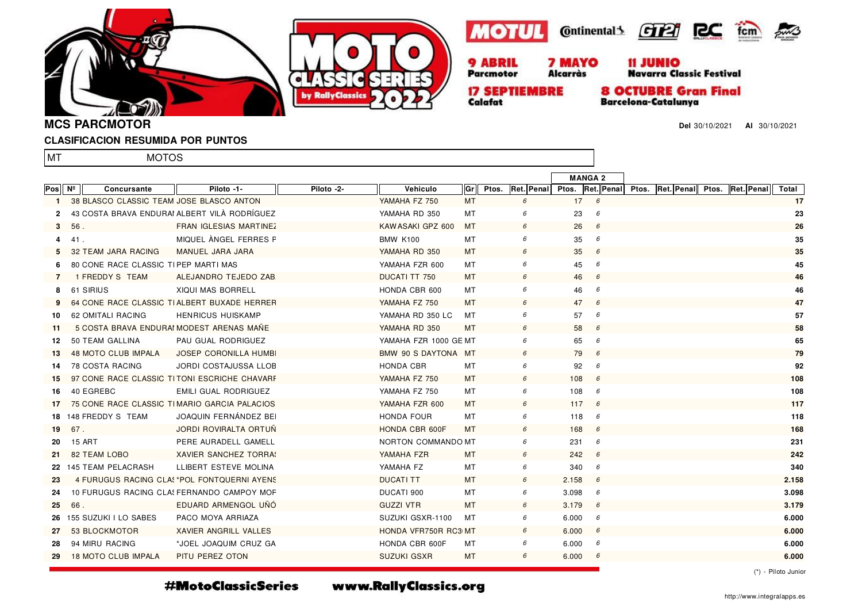





**Alcarràs** 



11 JUNIO<br>Navarra Classic Festival

**17 SEPTIEMBRE** Calafat

Parcmotor

**8 OCTUBRE Gran Final** 

**Barcelona-Catalunya** 

**Del** 30/10/2021 **Al** 30/10/2021

**MCS PARCMOTOR**

### **CLASIFICACION RESUMIDA POR PUNTOS**

MOTOS

lmt

|              |        |                                          |                                              |            |                       |           |       |                                                               | <b>MANGA 2</b> |   |  |  |       |
|--------------|--------|------------------------------------------|----------------------------------------------|------------|-----------------------|-----------|-------|---------------------------------------------------------------|----------------|---|--|--|-------|
| Pos II       | Nº     | Concursante                              | Piloto -1-                                   | Piloto -2- | Vehiculo              | Gr        | Ptos. | Ret. Penal Ptos. Ret. Penal Ptos. Ret. Penal Ptos. Ret. Penal |                |   |  |  | Total |
| $\mathbf{1}$ |        | 38 BLASCO CLASSIC TEAM JOSE BLASCO ANTON |                                              |            | YAMAHA FZ 750         | MT        |       | 6                                                             | 17             | 6 |  |  | 17    |
| $\mathbf{2}$ |        |                                          | 43 COSTA BRAVA ENDURAI ALBERT VILÀ RODRÍGUEZ |            | YAMAHA RD 350         | МT        |       | 6                                                             | 23             | 6 |  |  | 23    |
| 3            | 56.    |                                          | <b>FRAN IGLESIAS MARTINEZ</b>                |            | KAW ASAKI GPZ 600     | МT        |       | 6                                                             | 26             | 6 |  |  | 26    |
| 4            | 41.    |                                          | MIQUEL ANGEL FERRES F                        |            | <b>BMW K100</b>       | MT        |       | 6                                                             | 35             | 6 |  |  | 35    |
|              |        | 32 TEAM JARA RACING                      | MANUEL JARA JARA                             |            | YAMAHA RD 350         | MТ        |       | 6                                                             | 35             | 6 |  |  | 35    |
|              |        | 80 CONE RACE CLASSIC TIPEP MARTI MAS     |                                              |            | YAMAHA FZR 600        | МT        |       | 6                                                             | 45             | 6 |  |  | 45    |
| 7            |        | 1 FREDDY S TEAM                          | ALEJANDRO TEJEDO ZAB                         |            | <b>DUCATI TT 750</b>  | MT        |       | 6                                                             | 46             | 6 |  |  | 46    |
| 8            |        | 61 SIRIUS                                | <b>XIQUI MAS BORRELL</b>                     |            | HONDA CBR 600         | МT        |       | 6                                                             | 46             | 6 |  |  | 46    |
|              |        |                                          | 64 CONE RACE CLASSIC TIALBERT BUXADE HERRER  |            | YAMAHA FZ 750         | MT.       |       | 6                                                             | 47             | 6 |  |  | 47    |
| 10           |        | 62 OMITALI RACING                        | <b>HENRICUS HUISKAMP</b>                     |            | YAMAHA RD 350 LC      | МT        |       | 6                                                             | 57             | 6 |  |  | 57    |
| -11          |        |                                          | 5 COSTA BRAVA ENDURAI MODEST ARENAS MAÑE     |            | YAMAHA RD 350         | MT        |       | 6                                                             | 58             | 6 |  |  | 58    |
| 12           |        | 50 TEAM GALLINA                          | PAU GUAL RODRIGUEZ                           |            | YAMAHA FZR 1000 GE MT |           |       | 6                                                             | 65             | 6 |  |  | 65    |
| -13          |        | 48 MOTO CLUB IMPALA                      | <b>JOSEP CORONILLA HUMB</b>                  |            | BMW 90 S DAYTONA MT   |           |       | 6                                                             | 79             | 6 |  |  | 79    |
| 14           |        | <b>78 COSTA RACING</b>                   | <b>JORDI COSTAJUSSA LLOB</b>                 |            | HONDA CBR             | МT        |       | 6                                                             | 92             | 6 |  |  | 92    |
| 15           |        |                                          | 97 CONE RACE CLASSIC TITONI ESCRICHE CHAVARE |            | YAMAHA FZ 750         | MT        |       | 6                                                             | 108            | 6 |  |  | 108   |
| 16           |        | 40 EGREBC                                | EMILI GUAL RODRIGUEZ                         |            | YAMAHA FZ 750         | МT        |       | 6                                                             | 108            | 6 |  |  | 108   |
| 17           |        |                                          | 75 CONE RACE CLASSIC TIMARIO GARCIA PALACIOS |            | YAMAHA FZR 600        | МT        |       | 6                                                             | 117            | 6 |  |  | 117   |
|              |        | 18 148 FREDDY S TEAM                     | JOAQUIN FERNÁNDEZ BEI                        |            | <b>HONDA FOUR</b>     | МT        |       | 6                                                             | 118            | 6 |  |  | 118   |
| 19           | 67.    |                                          | <b>JORDI ROVIRALTA ORTUN</b>                 |            | HONDA CBR 600F        | MT        |       | 6                                                             | 168            | 6 |  |  | 168   |
| 20           | 15 ART |                                          | PERE AURADELL GAMELL                         |            | NORTON COMMANDO MT    |           |       | 6                                                             | 231            | 6 |  |  | 231   |
| 21           |        | 82 TEAM LOBO                             | <b>XAVIER SANCHEZ TORRA:</b>                 |            | YAMAHA FZR            | <b>MT</b> |       | 6                                                             | 242            | 6 |  |  | 242   |
|              |        | 22 145 TEAM PELACRASH                    | LLIBERT ESTEVE MOLINA                        |            | YAMAHA FZ             | МT        |       | 6                                                             | 340            | 6 |  |  | 340   |
| 23           |        |                                          | 4 FURUGUS RACING CLAS *POL FONTQUERNI AYENS  |            | <b>DUCATI TT</b>      | MT        |       | 6                                                             | 2.158          | 6 |  |  | 2.158 |
| 24           |        |                                          | 10 FURUGUS RACING CLA FERNANDO CAMPOY MOF    |            | DUCATI 900            | МT        |       | 6                                                             | 3.098          | 6 |  |  | 3.098 |
| 25           | 66.    |                                          | EDUARD ARMENGOL UNO                          |            | <b>GUZZI VTR</b>      | MT        |       | 6                                                             | 3.179          | 6 |  |  | 3.179 |
|              |        | 26 155 SUZUKI I LO SABES                 | PACO MOYA ARRIAZA                            |            | SUZUKI GSXR-1100      | МT        |       | 6                                                             | 6.000          | 6 |  |  | 6.000 |
| 27           |        | 53 BLOCKMOTOR                            | XAVIER ANGRILL VALLES                        |            | HONDA VFR750R RC3 MT  |           |       | 6                                                             | 6.000          | 6 |  |  | 6.000 |
| 28           |        | 94 MIRU RACING                           | *JOEL JOAQUIM CRUZ GA                        |            | HONDA CBR 600F        | МT        |       | 6                                                             | 6.000          | 6 |  |  | 6.000 |
| 29           |        | 18 MOTO CLUB IMPALA                      | PITU PEREZ OTON                              |            | <b>SUZUKI GSXR</b>    | МT        |       | 6                                                             | 6.000          | 6 |  |  | 6.000 |

(\*) - Piloto Junior

#MotoClassicSeries

www.RallyClassics.org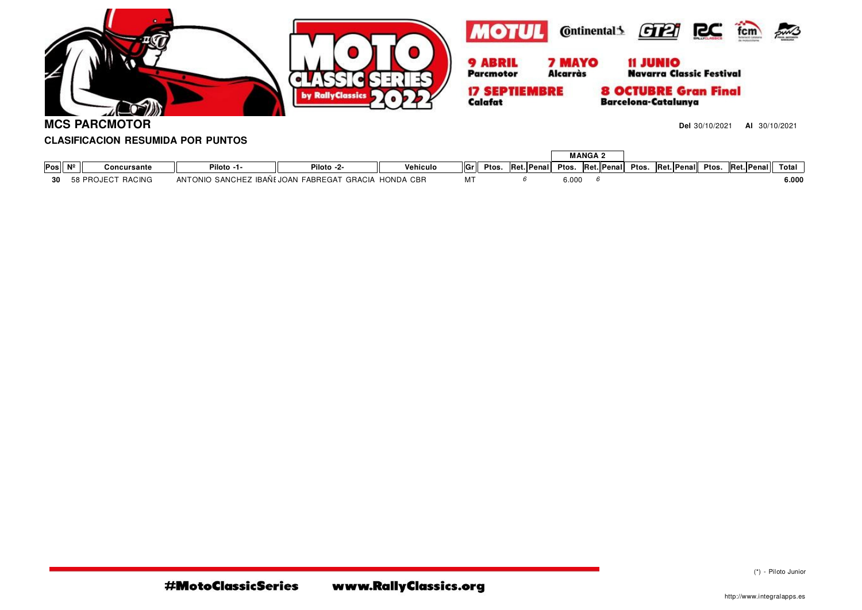

**MCS PARCMOTOR**

**Del** 30/10/2021 **Al** 30/10/2021

# **CLASIFICACION RESUMIDA POR PUNTOS**

|     |                 |                   |                 |                       |                  |     |       |             | <b>MANGA 2</b> |  |                  |  |                  |             |       |
|-----|-----------------|-------------------|-----------------|-----------------------|------------------|-----|-------|-------------|----------------|--|------------------|--|------------------|-------------|-------|
| Pos | NI <sub>2</sub> | Concursante       | Piloto -1-      | Piloto -2-            | Vehiculo         | ∥Gr | Ptos. | Ret. Penall | Ptos.          |  | Ret. Penal Ptos. |  | Ret. Penal Ptos. | Ret. Penall | Total |
| ገበ  |                 | 58 PROJECT RACING | ANTONIO SANCHEZ | Z IBAÑI JOAN FABREGAT | GRACIA HONDA CBR |     |       |             | 6.000          |  |                  |  |                  |             | 6.000 |